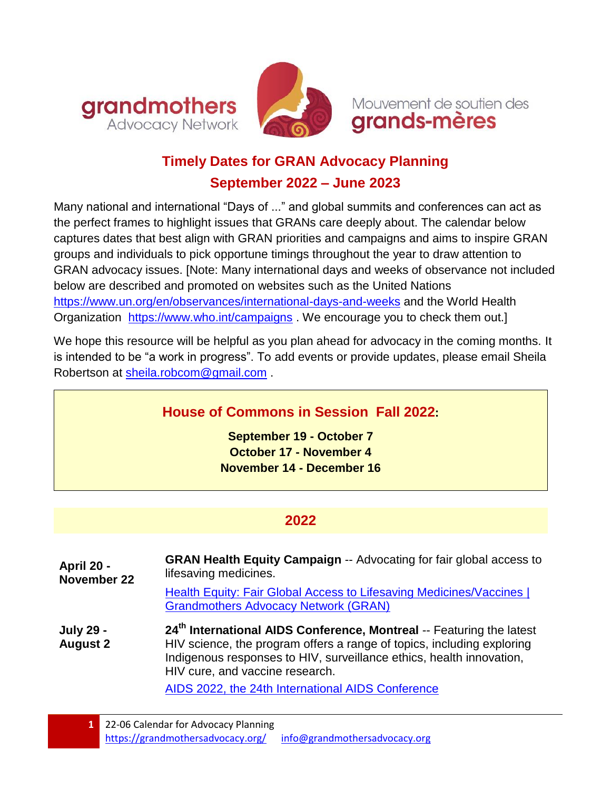



Mouvement de soutien des grands-mères

# **Timely Dates for GRAN Advocacy Planning September 2022 – June 2023**

Many national and international "Days of ..." and global summits and conferences can act as the perfect frames to highlight issues that GRANs care deeply about. The calendar below captures dates that best align with GRAN priorities and campaigns and aims to inspire GRAN groups and individuals to pick opportune timings throughout the year to draw attention to GRAN advocacy issues. [Note: Many international days and weeks of observance not included below are described and promoted on websites such as the United Nations <https://www.un.org/en/observances/international-days-and-weeks> and the World Health Organization <https://www.who.int/campaigns>. We encourage you to check them out.]

We hope this resource will be helpful as you plan ahead for advocacy in the coming months. It is intended to be "a work in progress". To add events or provide updates, please email Sheila Robertson at [sheila.robcom@gmail.com](mailto:sheila.robcom@gmail.com) .

# **House of Commons in Session Fall 2022:**

**September 19 - October 7 October 17 - November 4 November 14 - December 16**

## **2022**

| April 20 -<br><b>November 22</b>    | <b>GRAN Health Equity Campaign -- Advocating for fair global access to</b><br>lifesaving medicines.<br>Health Equity: Fair Global Access to Lifesaving Medicines/Vaccines  <br><b>Grandmothers Advocacy Network (GRAN)</b>                                                                                                |
|-------------------------------------|---------------------------------------------------------------------------------------------------------------------------------------------------------------------------------------------------------------------------------------------------------------------------------------------------------------------------|
| <b>July 29 -</b><br><b>August 2</b> | 24 <sup>th</sup> International AIDS Conference, Montreal -- Featuring the latest<br>HIV science, the program offers a range of topics, including exploring<br>Indigenous responses to HIV, surveillance ethics, health innovation,<br>HIV cure, and vaccine research.<br>AIDS 2022 the 24th International AIDS Conference |

[AIDS 2022, the 24th International AIDS Conference](https://aids2022.org/)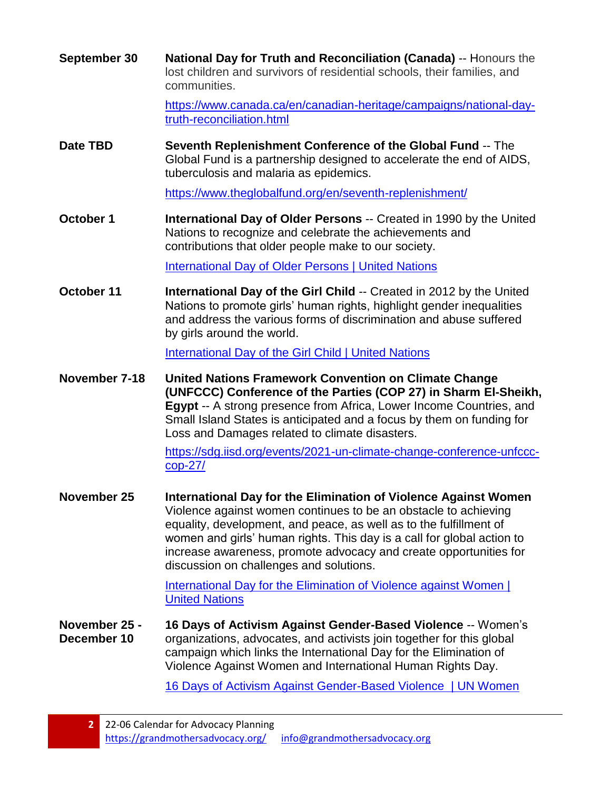**September 30 National Day for Truth and Reconciliation (Canada)** -- Honours the lost children and survivors of residential schools, their families, and communities.

> [https://www.canada.ca/en/canadian-heritage/campaigns/national-day](https://www.canada.ca/en/canadian-heritage/campaigns/national-day-truth-reconciliation.html)[truth-reconciliation.html](https://www.canada.ca/en/canadian-heritage/campaigns/national-day-truth-reconciliation.html)

**Date TBD Seventh Replenishment Conference of the Global Fund** -- The Global Fund is a partnership designed to accelerate the end of AIDS, tuberculosis and malaria as epidemics.

<https://www.theglobalfund.org/en/seventh-replenishment/>

**October 1 International Day of Older Persons** -- Created in 1990 by the United Nations to recognize and celebrate the achievements and contributions that older people make to our society.

[International Day of Older Persons | United Nations](https://www.un.org/en/observances/older-persons-day)

**October 11 International Day of the Girl Child** -- Created in 2012 by the United Nations to promote girls' human rights, highlight gender inequalities and address the various forms of discrimination and abuse suffered by girls around the world.

[International Day of the Girl Child | United Nations](https://www.un.org/en/observances/girl-child-day)

**November 7-18 United Nations Framework Convention on Climate Change (UNFCCC) Conference of the Parties (COP 27) in Sharm El-Sheikh, Egypt** -- A strong presence from Africa, Lower Income Countries, and Small Island States is anticipated and a focus by them on funding for Loss and Damages related to climate disasters.

> [https://sdg.iisd.org/events/2021-un-climate-change-conference-unfccc](https://sdg.iisd.org/events/2021-un-climate-change-conference-unfccc-cop-27/)[cop-27/](https://sdg.iisd.org/events/2021-un-climate-change-conference-unfccc-cop-27/)

**November 25 International Day for the Elimination of Violence Against Women** Violence against women continues to be an obstacle to achieving equality, development, and peace, as well as to the fulfillment of women and girls' human rights. This day is a call for global action to increase awareness, promote advocacy and create opportunities for discussion on challenges and solutions.

> [International Day for the Elimination of Violence against Women |](https://www.un.org/en/observances/ending-violence-against-women-day)  [United Nations](https://www.un.org/en/observances/ending-violence-against-women-day)

**November 25 - December 10 16 Days of Activism Against Gender-Based Violence** -- Women's organizations, advocates, and activists join together for this global campaign which links the International Day for the Elimination of Violence Against Women and International Human Rights Day.

[16 Days of Activism Against Gender-Based](https://www.unwomen.org/en/what-we-do/ending-violence-against-women/take-action/16-days-of-activism) Violence | UN Women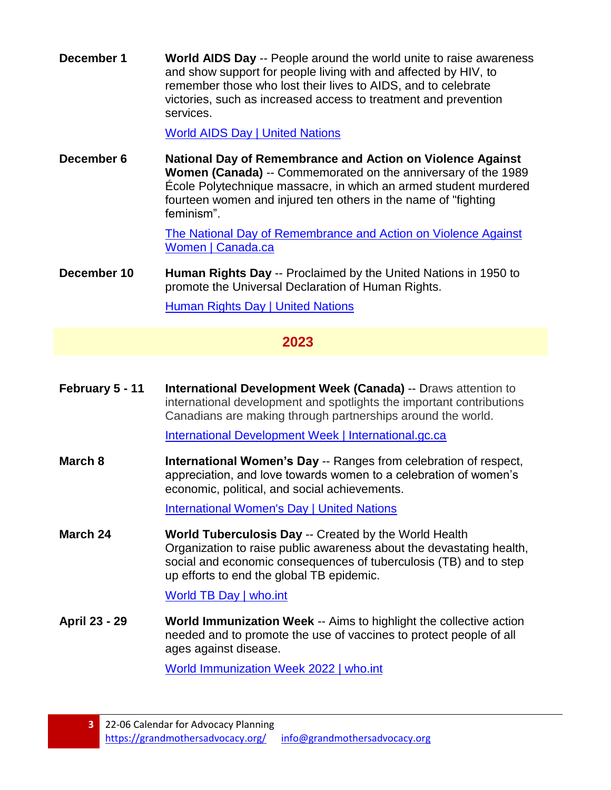**December 1 World AIDS Day** -- People around the world unite to raise awareness and show support for people living with and affected by HIV, to remember those who lost their lives to AIDS, and to celebrate victories, such as increased access to treatment and prevention services.

[World AIDS Day | United Nations](https://www.un.org/en/observances/world-aids-day)

**December 6 National Day of Remembrance and Action on Violence Against Women (Canada)** -- Commemorated on the anniversary of the 1989 École Polytechnique massacre, in which an armed student murdered fourteen women and injured ten others in the name of "fighting" feminism".

> [The National Day of Remembrance and Action on Violence Against](https://women-gender-equality.canada.ca/en/commemorations-celebrations/16-days/national-day-remembrance.html)  [Women | Canada.ca](https://women-gender-equality.canada.ca/en/commemorations-celebrations/16-days/national-day-remembrance.html)

**December 10 Human Rights Day** -- Proclaimed by the United Nations in 1950 to promote the Universal Declaration of Human Rights.

[Human Rights Day | United Nations](https://www.un.org/en/observances/human-rights-day)

### **2023**

**February 5 - 11 International Development Week (Canada)** -- Draws attention to international development and spotlights the important contributions Canadians are making through partnerships around the world.

[International Development Week | International.gc.ca](https://www.international.gc.ca/world-monde/issues_development-enjeux_developpement/idw-sdi.aspx?lang=eng)

**March 8 International Women's Day** -- Ranges from celebration of respect, appreciation, and love towards women to a celebration of women's economic, political, and social achievements.

[International Women's Day | United Nations](https://www.un.org/en/observances/womens-day)

**March 24 World Tuberculosis Day** -- Created by the World Health Organization to raise public awareness about the devastating health, social and economic consequences of tuberculosis (TB) and to step up efforts to end the global TB epidemic.

### [World TB Day | who.int](https://www.who.int/campaigns/world-tb-day/)

**April 23 - 29 World Immunization Week** -- Aims to highlight the collective action needed and to promote the use of vaccines to protect people of all ages against disease.

[World Immunization Week 2022 | who.int](https://www.who.int/campaigns/world-immunization-week/world-immunization-week-2022)